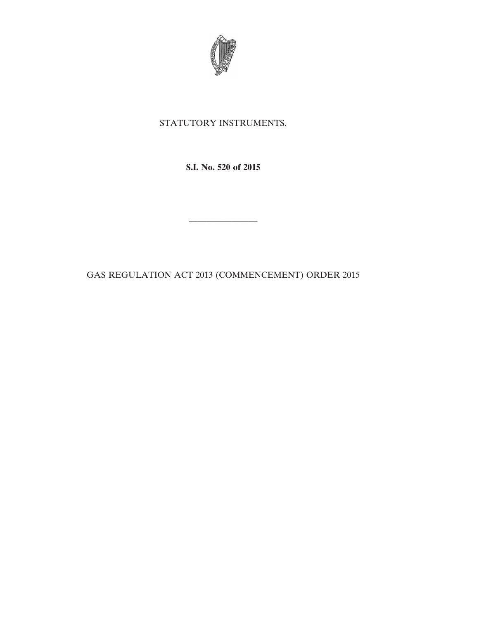

## STATUTORY INSTRUMENTS.

**S.I. No. 520 of 2015**

————————

GAS REGULATION ACT 2013 (COMMENCEMENT) ORDER 2015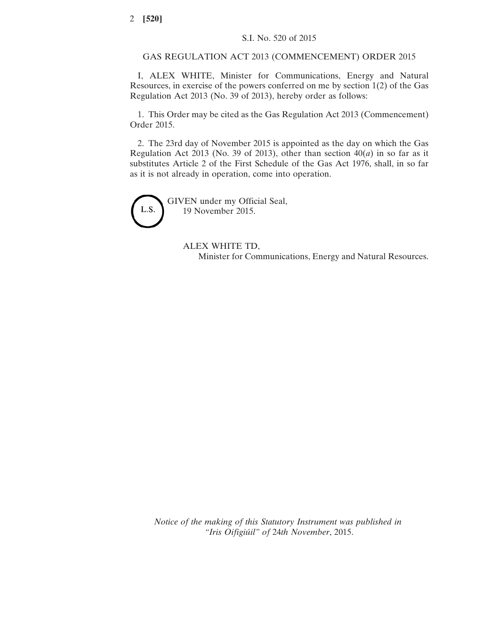## GAS REGULATION ACT 2013 (COMMENCEMENT) ORDER 2015

I, ALEX WHITE, Minister for Communications, Energy and Natural Resources, in exercise of the powers conferred on me by section 1(2) of the Gas Regulation Act 2013 (No. 39 of 2013), hereby order as follows:

1. This Order may be cited as the Gas Regulation Act 2013 (Commencement) Order 2015.

2. The 23rd day of November 2015 is appointed as the day on which the Gas Regulation Act 2013 (No. 39 of 2013), other than section  $40(a)$  in so far as it substitutes Article 2 of the First Schedule of the Gas Act 1976, shall, in so far as it is not already in operation, come into operation.

L.S.

GIVEN under my Official Seal, 19 November 2015.

> ALEX WHITE TD, Minister for Communications, Energy and Natural Resources.

*Notice of the making of this Statutory Instrument was published in "Iris Oifigiúil" of* 24*th November*, 2015.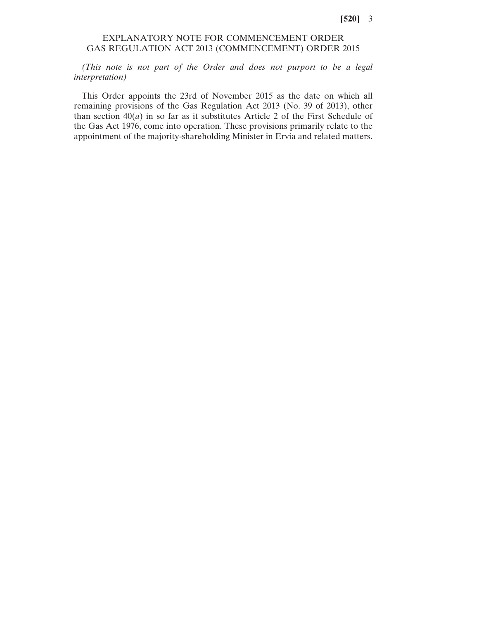## **[520]** 3

## EXPLANATORY NOTE FOR COMMENCEMENT ORDER GAS REGULATION ACT 2013 (COMMENCEMENT) ORDER 2015

*(This note is not part of the Order and does not purport to be a legal interpretation)*

This Order appoints the 23rd of November 2015 as the date on which all remaining provisions of the Gas Regulation Act 2013 (No. 39 of 2013), other than section  $40(a)$  in so far as it substitutes Article 2 of the First Schedule of the Gas Act 1976, come into operation. These provisions primarily relate to the appointment of the majority-shareholding Minister in Ervia and related matters.